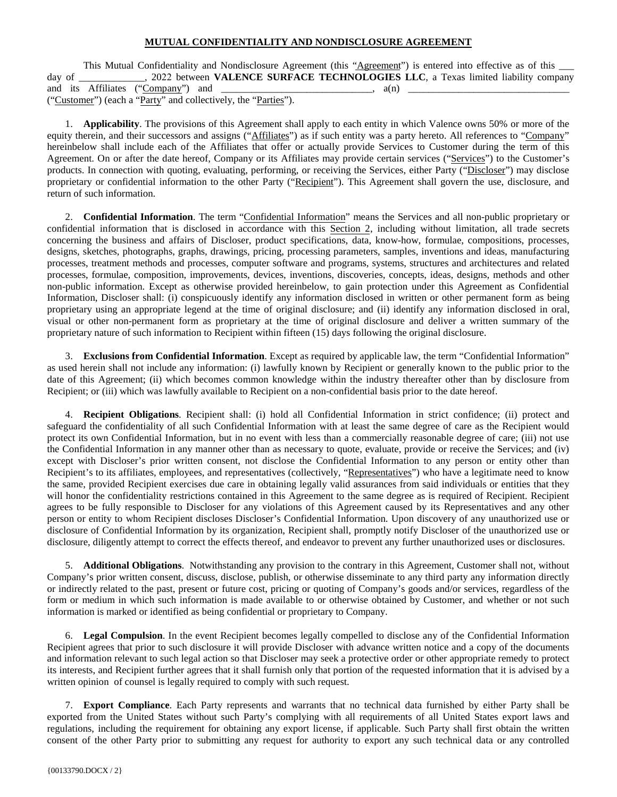## **MUTUAL CONFIDENTIALITY AND NONDISCLOSURE AGREEMENT**

This Mutual Confidentiality and Nondisclosure Agreement (this "Agreement") is entered into effective as of this \_\_\_\_ day of \_\_\_\_\_\_\_\_\_\_\_\_\_, 2022 between **VALENCE SURFACE TECHNOLOGIES LLC**, a Texas limited liability company and its Affiliates  $("Compary")$  and  $\qquad$ ("Customer") (each a "Party" and collectively, the "Parties").

1. **Applicability**. The provisions of this Agreement shall apply to each entity in which Valence owns 50% or more of the equity therein, and their successors and assigns ("Affiliates") as if such entity was a party hereto. All references to "Company" hereinbelow shall include each of the Affiliates that offer or actually provide Services to Customer during the term of this Agreement. On or after the date hereof, Company or its Affiliates may provide certain services ("Services") to the Customer's products. In connection with quoting, evaluating, performing, or receiving the Services, either Party ("Discloser") may disclose proprietary or confidential information to the other Party ("Recipient"). This Agreement shall govern the use, disclosure, and return of such information.

2. **Confidential Information**. The term "Confidential Information" means the Services and all non-public proprietary or confidential information that is disclosed in accordance with this Section 2, including without limitation, all trade secrets concerning the business and affairs of Discloser, product specifications, data, know-how, formulae, compositions, processes, designs, sketches, photographs, graphs, drawings, pricing, processing parameters, samples, inventions and ideas, manufacturing processes, treatment methods and processes, computer software and programs, systems, structures and architectures and related processes, formulae, composition, improvements, devices, inventions, discoveries, concepts, ideas, designs, methods and other non-public information. Except as otherwise provided hereinbelow, to gain protection under this Agreement as Confidential Information, Discloser shall: (i) conspicuously identify any information disclosed in written or other permanent form as being proprietary using an appropriate legend at the time of original disclosure; and (ii) identify any information disclosed in oral, visual or other non-permanent form as proprietary at the time of original disclosure and deliver a written summary of the proprietary nature of such information to Recipient within fifteen (15) days following the original disclosure.

3. **Exclusions from Confidential Information**. Except as required by applicable law, the term "Confidential Information" as used herein shall not include any information: (i) lawfully known by Recipient or generally known to the public prior to the date of this Agreement; (ii) which becomes common knowledge within the industry thereafter other than by disclosure from Recipient; or (iii) which was lawfully available to Recipient on a non-confidential basis prior to the date hereof.

4. **Recipient Obligations**. Recipient shall: (i) hold all Confidential Information in strict confidence; (ii) protect and safeguard the confidentiality of all such Confidential Information with at least the same degree of care as the Recipient would protect its own Confidential Information, but in no event with less than a commercially reasonable degree of care; (iii) not use the Confidential Information in any manner other than as necessary to quote, evaluate, provide or receive the Services; and (iv) except with Discloser's prior written consent, not disclose the Confidential Information to any person or entity other than Recipient's to its affiliates, employees, and representatives (collectively, "Representatives") who have a legitimate need to know the same, provided Recipient exercises due care in obtaining legally valid assurances from said individuals or entities that they will honor the confidentiality restrictions contained in this Agreement to the same degree as is required of Recipient. Recipient agrees to be fully responsible to Discloser for any violations of this Agreement caused by its Representatives and any other person or entity to whom Recipient discloses Discloser's Confidential Information. Upon discovery of any unauthorized use or disclosure of Confidential Information by its organization, Recipient shall, promptly notify Discloser of the unauthorized use or disclosure, diligently attempt to correct the effects thereof, and endeavor to prevent any further unauthorized uses or disclosures.

5. **Additional Obligations**. Notwithstanding any provision to the contrary in this Agreement, Customer shall not, without Company's prior written consent, discuss, disclose, publish, or otherwise disseminate to any third party any information directly or indirectly related to the past, present or future cost, pricing or quoting of Company's goods and/or services, regardless of the form or medium in which such information is made available to or otherwise obtained by Customer, and whether or not such information is marked or identified as being confidential or proprietary to Company.

6. **Legal Compulsion**. In the event Recipient becomes legally compelled to disclose any of the Confidential Information Recipient agrees that prior to such disclosure it will provide Discloser with advance written notice and a copy of the documents and information relevant to such legal action so that Discloser may seek a protective order or other appropriate remedy to protect its interests, and Recipient further agrees that it shall furnish only that portion of the requested information that it is advised by a written opinion of counsel is legally required to comply with such request.

7. **Export Compliance**. Each Party represents and warrants that no technical data furnished by either Party shall be exported from the United States without such Party's complying with all requirements of all United States export laws and regulations, including the requirement for obtaining any export license, if applicable. Such Party shall first obtain the written consent of the other Party prior to submitting any request for authority to export any such technical data or any controlled